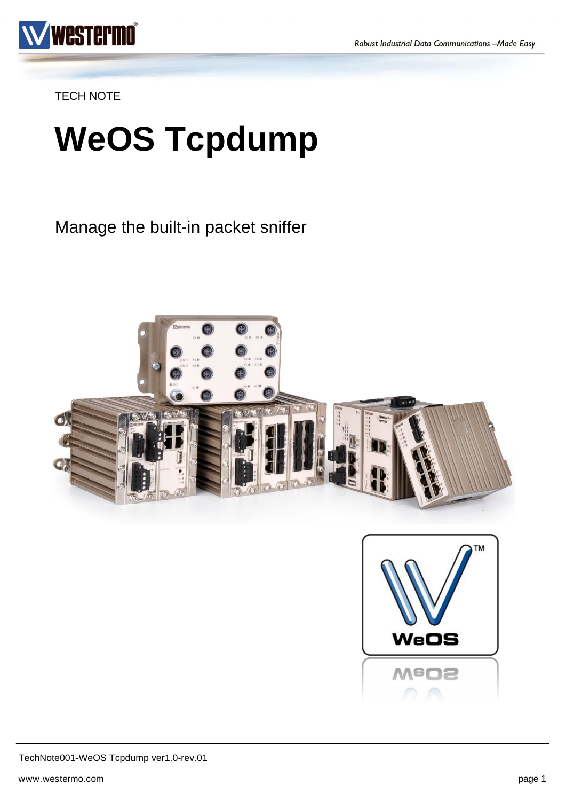

TECH NOTE

# **WeOS Tcpdump**

### Manage the built-in packet sniffer

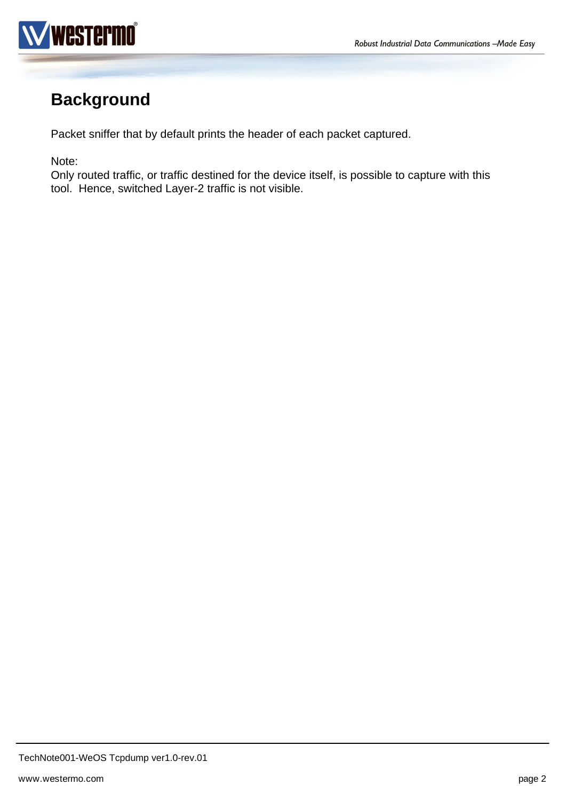

### **Background**

Packet sniffer that by default prints the header of each packet captured.

Note:

Only routed traffic, or traffic destined for the device itself, is possible to capture with this tool. Hence, switched Layer-2 traffic is not visible.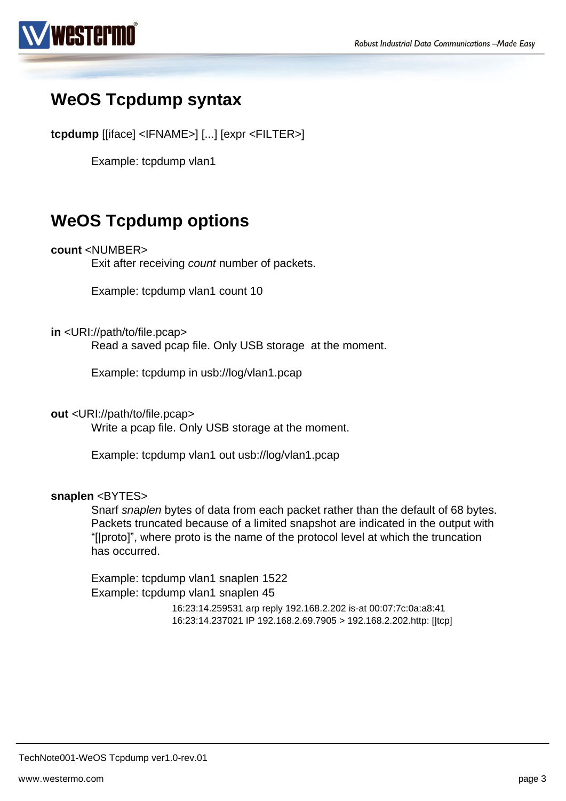

### **WeOS Tcpdump syntax**

**tcpdump** [[iface] <IFNAME>] [...] [expr <FILTER>]

Example: tcpdump vlan1

### **WeOS Tcpdump options**

#### **count** <NUMBER>

Exit after receiving *count* number of packets.

Example: tcpdump vlan1 count 10

**in** <URI://path/to/file.pcap>

Read a saved pcap file. Only USB storage at the moment.

Example: tcpdump in usb://log/vlan1.pcap

**out** <URI://path/to/file.pcap>

Write a pcap file. Only USB storage at the moment.

Example: tcpdump vlan1 out usb://log/vlan1.pcap

#### **snaplen** <BYTES>

Snarf *snaplen* bytes of data from each packet rather than the default of 68 bytes. Packets truncated because of a limited snapshot are indicated in the output with "[|proto]", where proto is the name of the protocol level at which the truncation has occurred.

Example: tcpdump vlan1 snaplen 1522 Example: tcpdump vlan1 snaplen 45

> 16:23:14.259531 arp reply 192.168.2.202 is-at 00:07:7c:0a:a8:41 16:23:14.237021 IP 192.168.2.69.7905 > 192.168.2.202.http: [|tcp]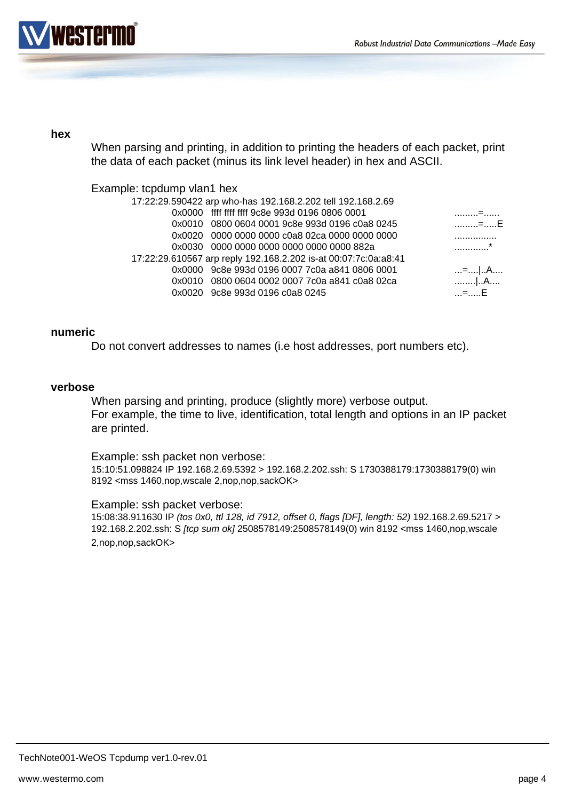

#### **hex**

When parsing and printing, in addition to printing the headers of each packet, print the data of each packet (minus its link level header) in hex and ASCII.

Example: tcpdump vlan1 hex

|  | 17:22:29.590422 arp who-has 192.168.2.202 tell 192.168.2.69     |                                 |
|--|-----------------------------------------------------------------|---------------------------------|
|  | 0x0000 ffff ffff ffff 9c8e 993d 0196 0806 0001                  | $\ldots \ldots = \ldots \ldots$ |
|  | 0x0010 0800 0604 0001 9c8e 993d 0196 c0a8 0245                  | . = E                           |
|  | 0x0020 0000 0000 0000 c0a8 02ca 0000 0000 0000                  |                                 |
|  | 0x0030 0000 0000 0000 0000 0000 0000 882a                       | $\star$                         |
|  | 17:22:29.610567 arp reply 192.168.2.202 is-at 00:07:7c:0a:a8:41 |                                 |
|  | 0x0000 9c8e 993d 0196 0007 7c0a a841 0806 0001                  | $=\dots$ $A$                    |
|  | 0x0010 0800 0604 0002 0007 7c0a a841 c0a8 02ca                  | A                               |
|  | 0x0020 9c8e 993d 0196 c0a8 0245                                 | $=$ F                           |
|  |                                                                 |                                 |

#### **numeric**

Do not convert addresses to names (i.e host addresses, port numbers etc).

#### **verbose**

When parsing and printing, produce (slightly more) verbose output. For example, the time to live, identification, total length and options in an IP packet are printed.

Example: ssh packet non verbose: 15:10:51.098824 IP 192.168.2.69.5392 > 192.168.2.202.ssh: S 1730388179:1730388179(0) win 8192 <mss 1460,nop,wscale 2,nop,nop,sackOK>

Example: ssh packet verbose:

15:08:38.911630 IP *(tos 0x0, ttl 128, id 7912, offset 0, flags [DF], length: 52)* 192.168.2.69.5217 > 192.168.2.202.ssh: S *[tcp sum ok]* 2508578149:2508578149(0) win 8192 <mss 1460,nop,wscale 2,nop,nop,sackOK>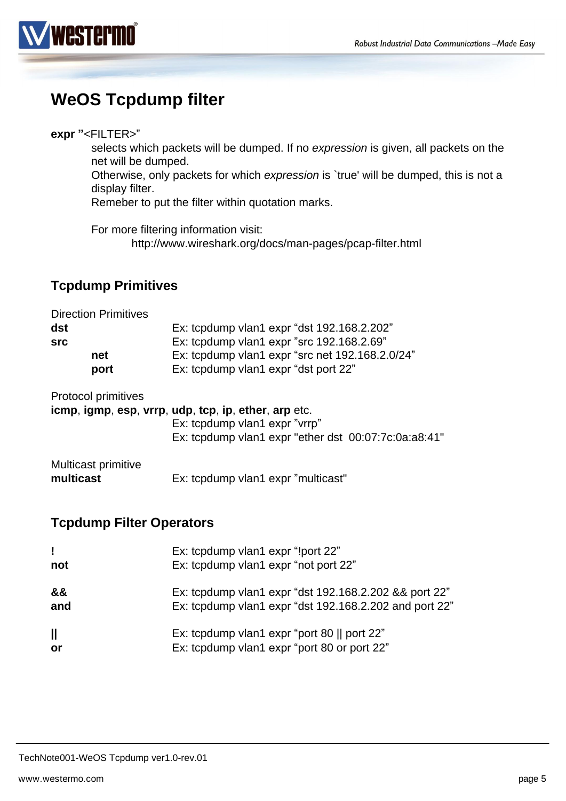

### **WeOS Tcpdump filter**

**expr "**<FILTER>"

selects which packets will be dumped. If no *expression* is given, all packets on the net will be dumped.

Otherwise, only packets for which *expression* is `true' will be dumped, this is not a display filter.

Remeber to put the filter within quotation marks.

For more filtering information visit:

http://www.wireshark.org/docs/man-pages/pcap-filter.html

### **Tcpdump Primitives**

| <b>Direction Primitives</b><br>dst<br><b>Src</b><br>net<br>port | Ex: tcpdump vlan1 expr "dst 192.168.2.202"<br>Ex: tcpdump vlan1 expr "src 192.168.2.69"<br>Ex: tcpdump vlan1 expr "src net 192.168.2.0/24"<br>Ex: tcpdump vlan1 expr "dst port 22" |
|-----------------------------------------------------------------|------------------------------------------------------------------------------------------------------------------------------------------------------------------------------------|
| <b>Protocol primitives</b>                                      | icmp, igmp, esp, vrrp, udp, tcp, ip, ether, arp etc.<br>Ex: tcpdump vlan1 expr "vrrp"<br>Ex: tcpdump vlan1 expr "ether dst 00:07:7c:0a:a8:41"                                      |
| Multicast primitive<br>multicast                                | Ex: tcpdump vlan1 expr "multicast"                                                                                                                                                 |
| <b>Tcpdump Filter Operators</b>                                 |                                                                                                                                                                                    |
| not                                                             | Ex: tcpdump vlan1 expr "!port 22"<br>Ex: tcpdump vlan1 expr "not port 22"                                                                                                          |

| &&  | Ex: tcpdump vlan1 expr "dst 192.168.2.202 && port 22"  |
|-----|--------------------------------------------------------|
| and | Ex: tcpdump vlan1 expr "dst 192.168.2.202 and port 22" |

**||** Ex: tcpdump vlan1 expr "port 80 || port 22"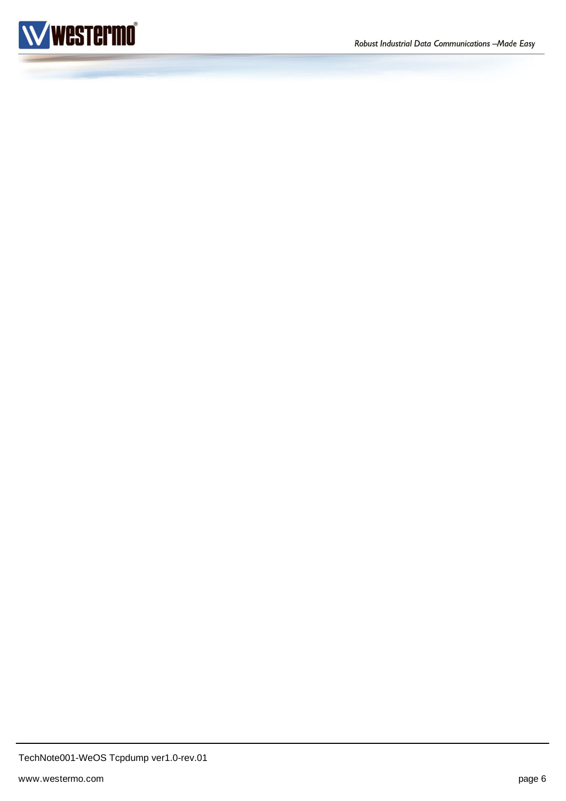

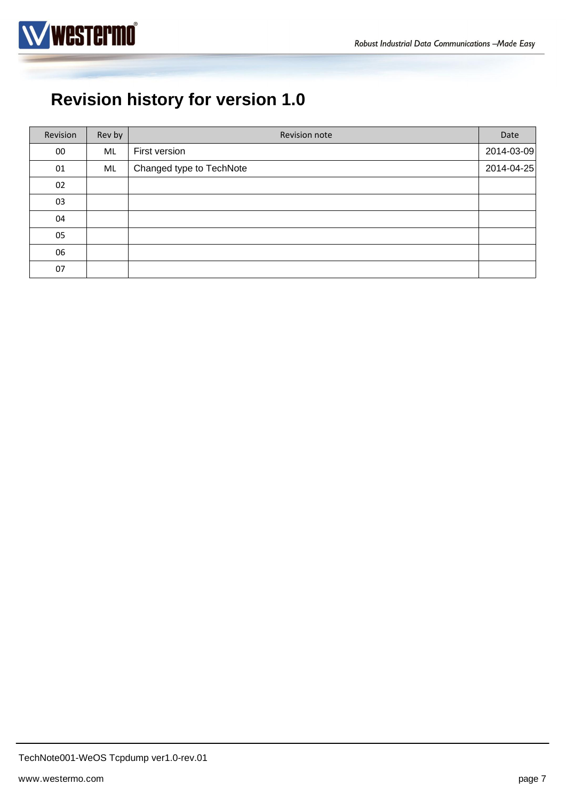

## **Revision history for version 1.0**

| Revision | Rev by | Revision note            | Date       |
|----------|--------|--------------------------|------------|
| $00\,$   | ML     | First version            | 2014-03-09 |
| 01       | ML     | Changed type to TechNote | 2014-04-25 |
| 02       |        |                          |            |
| 03       |        |                          |            |
| 04       |        |                          |            |
| 05       |        |                          |            |
| 06       |        |                          |            |
| 07       |        |                          |            |